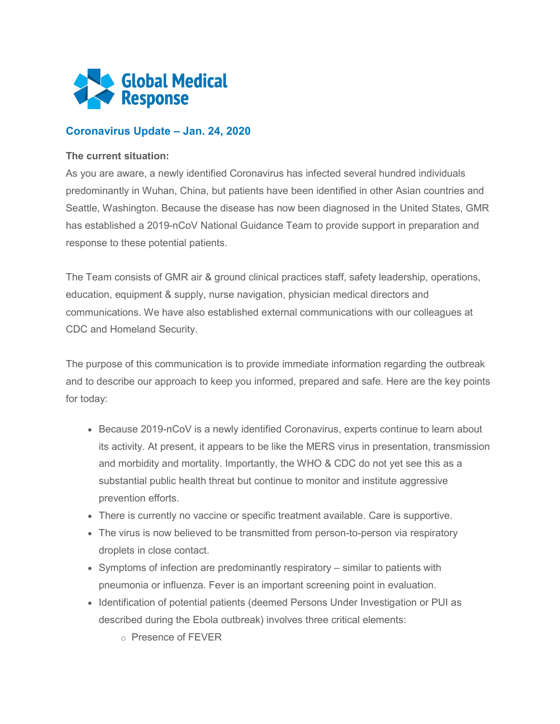

## **Coronavirus Update – Jan. 24, 2020**

## **The current situation:**

As you are aware, a newly identified Coronavirus has infected several hundred individuals predominantly in Wuhan, China, but patients have been identified in other Asian countries and Seattle, Washington. Because the disease has now been diagnosed in the United States, GMR has established a 2019-nCoV National Guidance Team to provide support in preparation and response to these potential patients.

The Team consists of GMR air & ground clinical practices staff, safety leadership, operations, education, equipment & supply, nurse navigation, physician medical directors and communications. We have also established external communications with our colleagues at CDC and Homeland Security.

The purpose of this communication is to provide immediate information regarding the outbreak and to describe our approach to keep you informed, prepared and safe. Here are the key points for today:

- Because 2019-nCoV is a newly identified Coronavirus, experts continue to learn about its activity. At present, it appears to be like the MERS virus in presentation, transmission and morbidity and mortality. Importantly, the WHO & CDC do not yet see this as a substantial public health threat but continue to monitor and institute aggressive prevention efforts.
- There is currently no vaccine or specific treatment available. Care is supportive.
- The virus is now believed to be transmitted from person-to-person via respiratory droplets in close contact.
- Symptoms of infection are predominantly respiratory similar to patients with pneumonia or influenza. Fever is an important screening point in evaluation.
- Identification of potential patients (deemed Persons Under Investigation or PUI as described during the Ebola outbreak) involves three critical elements:
	- o Presence of FEVER